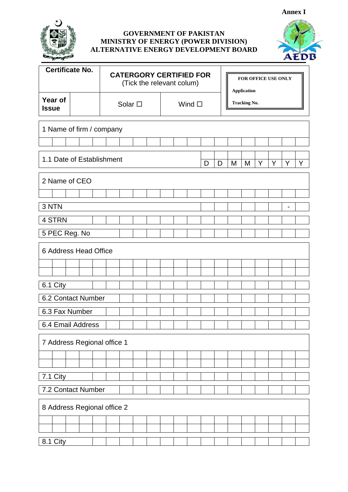

## **GOVERNMENT OF PAKISTAN MINISTRY OF ENERGY (POWER DIVISION) ALTERNATIVE ENERGY DEVELOPMENT BOARD**



| <b>Certificate No.</b>                                       |  |                 |  |  |  | <b>CATERGORY CERTIFIED FOR</b><br>(Tick the relevant colum) |                |  |  |                     | FOR OFFICE USE ONLY<br><b>Application</b> |  |  |  |  |  |
|--------------------------------------------------------------|--|-----------------|--|--|--|-------------------------------------------------------------|----------------|--|--|---------------------|-------------------------------------------|--|--|--|--|--|
| Year of<br><b>Issue</b>                                      |  | Solar $\square$ |  |  |  |                                                             | Wind $\square$ |  |  | <b>Tracking No.</b> |                                           |  |  |  |  |  |
| 1 Name of firm / company                                     |  |                 |  |  |  |                                                             |                |  |  |                     |                                           |  |  |  |  |  |
|                                                              |  |                 |  |  |  |                                                             |                |  |  |                     |                                           |  |  |  |  |  |
| 1.1 Date of Establishment<br>M<br>M<br>Y<br>Y<br>D<br>D<br>Y |  |                 |  |  |  |                                                             |                |  |  |                     | Y                                         |  |  |  |  |  |
| 2 Name of CEO                                                |  |                 |  |  |  |                                                             |                |  |  |                     |                                           |  |  |  |  |  |
|                                                              |  |                 |  |  |  |                                                             |                |  |  |                     |                                           |  |  |  |  |  |
| 3 NTN                                                        |  |                 |  |  |  |                                                             |                |  |  |                     |                                           |  |  |  |  |  |
| 4 STRN                                                       |  |                 |  |  |  |                                                             |                |  |  |                     |                                           |  |  |  |  |  |
| 5 PEC Reg. No                                                |  |                 |  |  |  |                                                             |                |  |  |                     |                                           |  |  |  |  |  |
| 6 Address Head Office                                        |  |                 |  |  |  |                                                             |                |  |  |                     |                                           |  |  |  |  |  |
|                                                              |  |                 |  |  |  |                                                             |                |  |  |                     |                                           |  |  |  |  |  |
|                                                              |  |                 |  |  |  |                                                             |                |  |  |                     |                                           |  |  |  |  |  |
| 6.1 City                                                     |  |                 |  |  |  |                                                             |                |  |  |                     |                                           |  |  |  |  |  |
| 6.2 Contact Number                                           |  |                 |  |  |  |                                                             |                |  |  |                     |                                           |  |  |  |  |  |
| 6.3 Fax Number                                               |  |                 |  |  |  |                                                             |                |  |  |                     |                                           |  |  |  |  |  |
| 6.4 Email Address                                            |  |                 |  |  |  |                                                             |                |  |  |                     |                                           |  |  |  |  |  |
| 7 Address Regional office 1                                  |  |                 |  |  |  |                                                             |                |  |  |                     |                                           |  |  |  |  |  |
|                                                              |  |                 |  |  |  |                                                             |                |  |  |                     |                                           |  |  |  |  |  |
|                                                              |  |                 |  |  |  |                                                             |                |  |  |                     |                                           |  |  |  |  |  |
| 7.1 City                                                     |  |                 |  |  |  |                                                             |                |  |  |                     |                                           |  |  |  |  |  |
| 7.2 Contact Number                                           |  |                 |  |  |  |                                                             |                |  |  |                     |                                           |  |  |  |  |  |
| 8 Address Regional office 2                                  |  |                 |  |  |  |                                                             |                |  |  |                     |                                           |  |  |  |  |  |
|                                                              |  |                 |  |  |  |                                                             |                |  |  |                     |                                           |  |  |  |  |  |
|                                                              |  |                 |  |  |  |                                                             |                |  |  |                     |                                           |  |  |  |  |  |
| 8.1 City                                                     |  |                 |  |  |  |                                                             |                |  |  |                     |                                           |  |  |  |  |  |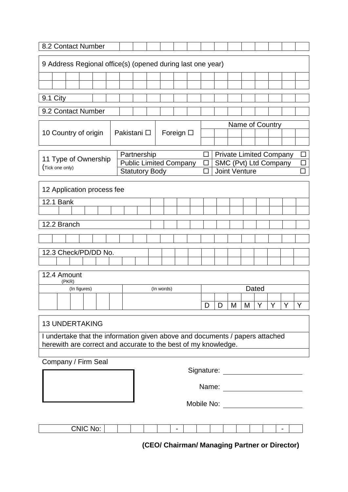| 8.2 Contact Number                                         |                                   |                       |              |  |  |  |                       |                                                     |                               |                          |  |        |                                                                              |   |               |                       |   |                                |        |
|------------------------------------------------------------|-----------------------------------|-----------------------|--------------|--|--|--|-----------------------|-----------------------------------------------------|-------------------------------|--------------------------|--|--------|------------------------------------------------------------------------------|---|---------------|-----------------------|---|--------------------------------|--------|
| 9 Address Regional office(s) (opened during last one year) |                                   |                       |              |  |  |  |                       |                                                     |                               |                          |  |        |                                                                              |   |               |                       |   |                                |        |
|                                                            |                                   |                       |              |  |  |  |                       |                                                     |                               |                          |  |        |                                                                              |   |               |                       |   |                                |        |
|                                                            |                                   |                       |              |  |  |  |                       |                                                     |                               |                          |  |        |                                                                              |   |               |                       |   |                                |        |
| 9.1 City                                                   |                                   |                       |              |  |  |  |                       |                                                     |                               |                          |  |        |                                                                              |   |               |                       |   |                                |        |
| 9.2 Contact Number                                         |                                   |                       |              |  |  |  |                       |                                                     |                               |                          |  |        |                                                                              |   |               |                       |   |                                |        |
|                                                            |                                   |                       |              |  |  |  |                       | Name of Country<br>Pakistani □<br>Foreign $\square$ |                               |                          |  |        |                                                                              |   |               |                       |   |                                |        |
|                                                            |                                   | 10 Country of origin  |              |  |  |  |                       |                                                     |                               |                          |  |        |                                                                              |   |               |                       |   |                                |        |
|                                                            |                                   |                       |              |  |  |  | Partnership           |                                                     |                               |                          |  | □      |                                                                              |   |               |                       |   | <b>Private Limited Company</b> | $\Box$ |
|                                                            |                                   | 11 Type of Ownership  |              |  |  |  |                       |                                                     | <b>Public Limited Company</b> |                          |  | $\Box$ |                                                                              |   |               | SMC (Pvt) Ltd Company |   |                                | $\Box$ |
|                                                            | (Tick one only)                   |                       |              |  |  |  | <b>Statutory Body</b> |                                                     |                               |                          |  |        |                                                                              |   | Joint Venture |                       |   |                                |        |
| 12 Application process fee                                 |                                   |                       |              |  |  |  |                       |                                                     |                               |                          |  |        |                                                                              |   |               |                       |   |                                |        |
|                                                            | <b>12.1 Bank</b>                  |                       |              |  |  |  |                       |                                                     |                               |                          |  |        |                                                                              |   |               |                       |   |                                |        |
|                                                            |                                   |                       |              |  |  |  |                       |                                                     |                               |                          |  |        |                                                                              |   |               |                       |   |                                |        |
|                                                            | 12.2 Branch                       |                       |              |  |  |  |                       |                                                     |                               |                          |  |        |                                                                              |   |               |                       |   |                                |        |
|                                                            |                                   |                       |              |  |  |  |                       |                                                     |                               |                          |  |        |                                                                              |   |               |                       |   |                                |        |
|                                                            | 12.3 Check/PD/DD No.              |                       |              |  |  |  |                       |                                                     |                               |                          |  |        |                                                                              |   |               |                       |   |                                |        |
|                                                            |                                   |                       |              |  |  |  |                       |                                                     |                               |                          |  |        |                                                                              |   |               |                       |   |                                |        |
|                                                            |                                   | 12.4 Amount<br>(PKR)  |              |  |  |  |                       |                                                     |                               |                          |  |        |                                                                              |   |               |                       |   |                                |        |
|                                                            |                                   |                       | (In figures) |  |  |  |                       |                                                     | (In words)                    |                          |  |        |                                                                              |   |               | Dated                 |   |                                |        |
|                                                            |                                   |                       |              |  |  |  |                       |                                                     |                               |                          |  | D      | D                                                                            | M | M             | Y.                    | Y | Y                              | Y      |
|                                                            |                                   |                       |              |  |  |  |                       |                                                     |                               |                          |  |        |                                                                              |   |               |                       |   |                                |        |
|                                                            |                                   | <b>13 UNDERTAKING</b> |              |  |  |  |                       |                                                     |                               |                          |  |        |                                                                              |   |               |                       |   |                                |        |
|                                                            |                                   |                       |              |  |  |  |                       |                                                     |                               |                          |  |        | I undertake that the information given above and documents / papers attached |   |               |                       |   |                                |        |
|                                                            |                                   |                       |              |  |  |  |                       |                                                     |                               |                          |  |        | herewith are correct and accurate to the best of my knowledge.               |   |               |                       |   |                                |        |
| Company / Firm Seal                                        |                                   |                       |              |  |  |  |                       |                                                     |                               |                          |  |        |                                                                              |   |               |                       |   |                                |        |
|                                                            |                                   |                       |              |  |  |  |                       |                                                     |                               |                          |  |        |                                                                              |   |               |                       |   |                                |        |
|                                                            | Signature: ______________________ |                       |              |  |  |  |                       |                                                     |                               |                          |  |        |                                                                              |   |               |                       |   |                                |        |
| Name: _______________________                              |                                   |                       |              |  |  |  |                       |                                                     |                               |                          |  |        |                                                                              |   |               |                       |   |                                |        |
|                                                            |                                   |                       |              |  |  |  |                       |                                                     |                               |                          |  |        |                                                                              |   |               |                       |   |                                |        |
|                                                            |                                   |                       |              |  |  |  |                       |                                                     |                               |                          |  |        |                                                                              |   |               |                       |   |                                |        |
|                                                            |                                   |                       | CNIC No:     |  |  |  |                       |                                                     |                               | $\overline{\phantom{a}}$ |  |        |                                                                              |   |               |                       |   |                                |        |

**(CEO/ Chairman/ Managing Partner or Director)**